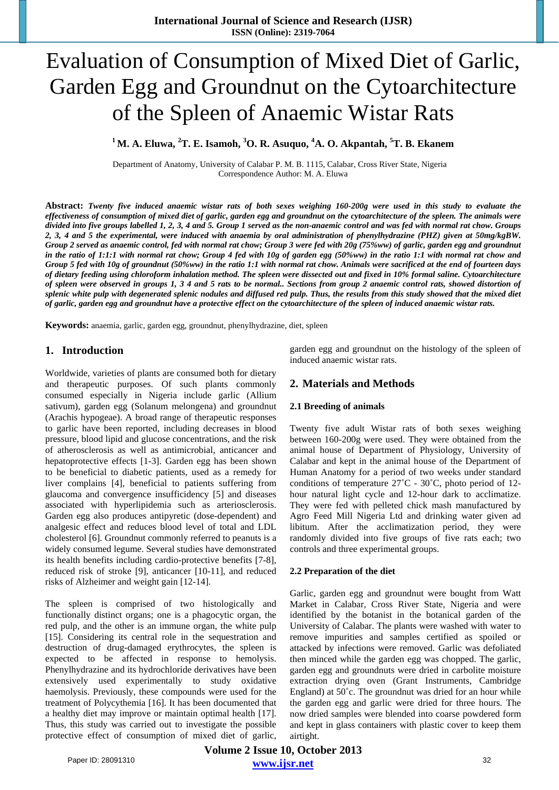# Evaluation of Consumption of Mixed Diet of Garlic, Garden Egg and Groundnut on the Cytoarchitecture of the Spleen of Anaemic Wistar Rats

**1 M. A. Eluwa, 2 T. E. Isamoh, <sup>3</sup> O. R. Asuquo, <sup>4</sup> A. O. Akpantah, 5 T. B. Ekanem**

Department of Anatomy, University of Calabar P. M. B. 1115, Calabar, Cross River State, Nigeria Correspondence Author: M. A. Eluwa

**Abstract:** *Twenty five induced anaemic wistar rats of both sexes weighing 160-200g were used in this study to evaluate the effectiveness of consumption of mixed diet of garlic, garden egg and groundnut on the cytoarchitecture of the spleen. The animals were divided into five groups labelled 1, 2, 3, 4 and 5. Group 1 served as the non-anaemic control and was fed with normal rat chow. Groups 2, 3, 4 and 5 the experimental, were induced with anaemia by oral administration of phenylhydrazine (PHZ) given at 50mg/kgBW. Group 2 served as anaemic control, fed with normal rat chow; Group 3 were fed with 20g (75%ww) of garlic, garden egg and groundnut in the ratio of 1:1:1 with normal rat chow; Group 4 fed with 10g of garden egg (50%ww) in the ratio 1:1 with normal rat chow and Group 5 fed with 10g of groundnut (50%ww) in the ratio 1:1 with normal rat chow. Animals were sacrificed at the end of fourteen days of dietary feeding using chloroform inhalation method. The spleen were dissected out and fixed in 10% formal saline. Cytoarchitecture of spleen were observed in groups 1, 3 4 and 5 rats to be normal.. Sections from group 2 anaemic control rats, showed distortion of splenic white pulp with degenerated splenic nodules and diffused red pulp. Thus, the results from this study showed that the mixed diet of garlic, garden egg and groundnut have a protective effect on the cytoarchitecture of the spleen of induced anaemic wistar rats.* 

**Keywords:** anaemia, garlic, garden egg, groundnut, phenylhydrazine, diet, spleen

# **1. Introduction**

Worldwide, varieties of plants are consumed both for dietary and therapeutic purposes. Of such plants commonly consumed especially in Nigeria include garlic (Allium sativum), garden egg (Solanum melongena) and groundnut (Arachis hypogeae). A broad range of therapeutic responses to garlic have been reported, including decreases in blood pressure, blood lipid and glucose concentrations, and the risk of atherosclerosis as well as antimicrobial, anticancer and hepatoprotective effects [1-3]. Garden egg has been shown to be beneficial to diabetic patients, used as a remedy for liver complains [4], beneficial to patients suffering from glaucoma and convergence insufficidency [5] and diseases associated with hyperlipidemia such as arteriosclerosis. Garden egg also produces antipyretic (dose-dependent) and analgesic effect and reduces blood level of total and LDL cholesterol [6]. Groundnut commonly referred to peanuts is a widely consumed legume. Several studies have demonstrated its health benefits including cardio-protective benefits [7-8], reduced risk of stroke [9], anticancer [10-11], and reduced risks of Alzheimer and weight gain [12-14].

The spleen is comprised of two histologically and functionally distinct organs; one is a phagocytic organ, the red pulp, and the other is an immune organ, the white pulp [15]. Considering its central role in the sequestration and destruction of drug-damaged erythrocytes, the spleen is expected to be affected in response to hemolysis. Phenylhydrazine and its hydrochloride derivatives have been extensively used experimentally to study oxidative haemolysis. Previously, these compounds were used for the treatment of Polycythemia [16]. It has been documented that a healthy diet may improve or maintain optimal health [17]. Thus, this study was carried out to investigate the possible protective effect of consumption of mixed diet of garlic, garden egg and groundnut on the histology of the spleen of induced anaemic wistar rats.

# **2. Materials and Methods**

#### **2.1 Breeding of animals**

Twenty five adult Wistar rats of both sexes weighing between 160-200g were used. They were obtained from the animal house of Department of Physiology, University of Calabar and kept in the animal house of the Department of Human Anatomy for a period of two weeks under standard conditions of temperature 27˚C - 30˚C, photo period of 12 hour natural light cycle and 12-hour dark to acclimatize. They were fed with pelleted chick mash manufactured by Agro Feed Mill Nigeria Ltd and drinking water given ad libitum. After the acclimatization period, they were randomly divided into five groups of five rats each; two controls and three experimental groups.

#### **2.2 Preparation of the diet**

Garlic, garden egg and groundnut were bought from Watt Market in Calabar, Cross River State, Nigeria and were identified by the botanist in the botanical garden of the University of Calabar. The plants were washed with water to remove impurities and samples certified as spoiled or attacked by infections were removed. Garlic was defoliated then minced while the garden egg was chopped. The garlic, garden egg and groundnuts were dried in carbolite moisture extraction drying oven (Grant Instruments, Cambridge England) at 50˚c. The groundnut was dried for an hour while the garden egg and garlic were dried for three hours. The now dried samples were blended into coarse powdered form and kept in glass containers with plastic cover to keep them airtight.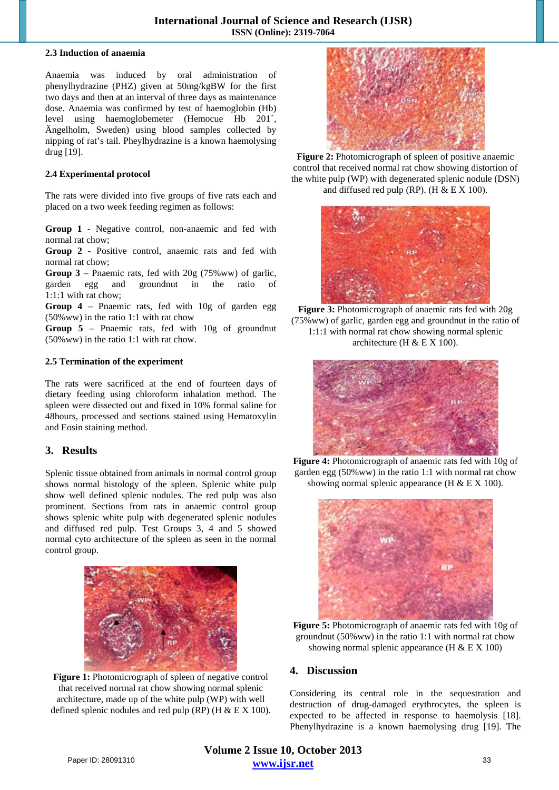#### **2.3 Induction of anaemia**

Anaemia was induced by oral administration of phenylhydrazine (PHZ) given at 50mg/kgBW for the first two days and then at an interval of three days as maintenance dose. Anaemia was confirmed by test of haemoglobin (Hb) level using haemoglobemeter (Hemocue Hb 201<sup>+</sup>, Ängelholm, Sweden) using blood samples collected by nipping of rat's tail. Pheylhydrazine is a known haemolysing drug [19].

#### **2.4 Experimental protocol**

The rats were divided into five groups of five rats each and placed on a two week feeding regimen as follows:

**Group 1** - Negative control, non-anaemic and fed with normal rat chow;

**Group 2** - Positive control, anaemic rats and fed with normal rat chow;

**Group 3** – Pnaemic rats, fed with 20g (75%ww) of garlic, garden egg and groundnut in the ratio 1:1:1 with rat chow;

**Group 4** – Pnaemic rats, fed with 10g of garden egg (50%ww) in the ratio 1:1 with rat chow

**Group 5** – Pnaemic rats, fed with 10g of groundnut (50%ww) in the ratio 1:1 with rat chow.

#### **2.5 Termination of the experiment**

The rats were sacrificed at the end of fourteen days of dietary feeding using chloroform inhalation method. The spleen were dissected out and fixed in 10% formal saline for 48hours, processed and sections stained using Hematoxylin and Eosin staining method.

# **3. Results**

Splenic tissue obtained from animals in normal control group shows normal histology of the spleen. Splenic white pulp show well defined splenic nodules. The red pulp was also prominent. Sections from rats in anaemic control group shows splenic white pulp with degenerated splenic nodules and diffused red pulp. Test Groups 3, 4 and 5 showed normal cyto architecture of the spleen as seen in the normal control group.



Figure 1: Photomicrograph of spleen of negative control that received normal rat chow showing normal splenic architecture, made up of the white pulp (WP) with well defined splenic nodules and red pulp (RP) (H  $& E X 100$ ).



**Figure 2:** Photomicrograph of spleen of positive anaemic control that received normal rat chow showing distortion of the white pulp (WP) with degenerated splenic nodule (DSN) and diffused red pulp (RP). (H  $& E X 100$ ).



**Figure 3:** Photomicrograph of anaemic rats fed with 20g (75%ww) of garlic, garden egg and groundnut in the ratio of 1:1:1 with normal rat chow showing normal splenic architecture (H & E X 100).



**Figure 4:** Photomicrograph of anaemic rats fed with 10g of garden egg (50%ww) in the ratio 1:1 with normal rat chow showing normal splenic appearance  $(H & E X 100)$ .



**Figure 5:** Photomicrograph of anaemic rats fed with 10g of groundnut (50%ww) in the ratio 1:1 with normal rat chow showing normal splenic appearance  $(H & E X 100)$ 

# **4. Discussion**

Considering its central role in the sequestration and destruction of drug-damaged erythrocytes, the spleen is expected to be affected in response to haemolysis [18]. Phenylhydrazine is a known haemolysing drug [19]. The

**Volume 2 Issue 10, October 2013 www.ijsr.net** Paper ID: 28091310 33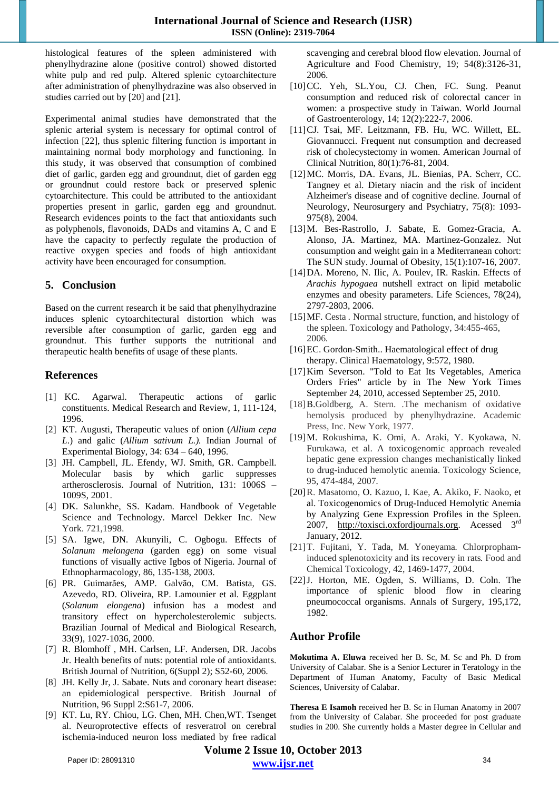histological features of the spleen administered with phenylhydrazine alone (positive control) showed distorted white pulp and red pulp. Altered splenic cytoarchitecture after administration of phenylhydrazine was also observed in studies carried out by [20] and [21].

Experimental animal studies have demonstrated that the splenic arterial system is necessary for optimal control of infection [22], thus splenic filtering function is important in maintaining normal body morphology and functioning. In this study, it was observed that consumption of combined diet of garlic, garden egg and groundnut, diet of garden egg or groundnut could restore back or preserved splenic cytoarchitecture. This could be attributed to the antioxidant properties present in garlic, garden egg and groundnut. Research evidences points to the fact that antioxidants such as polyphenols, flavonoids, DADs and vitamins A, C and E have the capacity to perfectly regulate the production of reactive oxygen species and foods of high antioxidant activity have been encouraged for consumption.

# **5. Conclusion**

Based on the current research it be said that phenylhydrazine induces splenic cytoarchitectural distortion which was reversible after consumption of garlic, garden egg and groundnut. This further supports the nutritional and therapeutic health benefits of usage of these plants.

# **References**

- [1] KC. Agarwal. Therapeutic actions of garlic constituents. Medical Research and Review, 1, 111-124, 1996.
- [2] KT. Augusti, Therapeutic values of onion (*Allium cepa L*.) and galic (*Allium sativum L.).* Indian Journal of Experimental Biology, 34: 634 – 640, 1996.
- [3] JH. Campbell, JL. Efendy, WJ. Smith, GR. Campbell. Molecular basis by which garlic suppresses artherosclerosis. Journal of Nutrition, 131: 1006S – 1009S, 2001.
- [4] DK. Salunkhe, SS. Kadam. Handbook of Vegetable Science and Technology. Marcel Dekker Inc. New York. 721,1998.
- [5] SA. Igwe, DN. Akunyili, C. Ogbogu. Effects of *Solanum melongena* (garden egg) on some visual functions of visually active Igbos of Nigeria. Journal of Ethnopharmacology, 86, 135-138, 2003.
- [6] PR. Guimarães, AMP. Galvão, CM. Batista, GS. Azevedo, RD. Oliveira, RP. Lamounier et al. Eggplant (*Solanum elongena*) infusion has a modest and transitory effect on hypercholesterolemic subjects. Brazilian Journal of Medical and Biological Research, 33(9), 1027-1036, 2000.
- [7] R. Blomhoff , MH. Carlsen, LF. Andersen, DR. Jacobs Jr. Health benefits of nuts: potential role of antioxidants. British Journal of Nutrition, 6(Suppl 2); S52-60, 2006.
- [8] JH. Kelly Jr, J. Sabate. Nuts and coronary heart disease: an epidemiological perspective. British Journal of Nutrition, 96 Suppl 2:S61-7, 2006.
- [9] KT. Lu, RY. Chiou, LG. Chen, MH. Chen,WT. Tsenget al. Neuroprotective effects of resveratrol on cerebral ischemia-induced neuron loss mediated by free radical

scavenging and cerebral blood flow elevation. Journal of Agriculture and Food Chemistry, 19; 54(8):3126-31, 2006.

- [10]CC. Yeh, SL.You, CJ. Chen, FC. Sung. Peanut consumption and reduced risk of colorectal cancer in women: a prospective study in Taiwan. World Journal of Gastroenterology, 14; 12(2):222-7, 2006.
- [11]CJ. Tsai, MF. Leitzmann, FB. Hu, WC. Willett, EL. Giovannucci. Frequent nut consumption and decreased risk of cholecystectomy in women. American Journal of Clinical Nutrition, 80(1):76-81, 2004.
- [12]MC. Morris, DA. Evans, JL. Bienias, PA. Scherr, CC. Tangney et al. Dietary niacin and the risk of incident Alzheimer's disease and of cognitive decline. Journal of Neurology, Neurosurgery and Psychiatry, 75(8): 1093- 975(8), 2004.
- [13]M. Bes-Rastrollo, J. Sabate, E. Gomez-Gracia, A. Alonso, JA. Martinez, MA. Martinez-Gonzalez. Nut consumption and weight gain in a Mediterranean cohort: The SUN study. Journal of Obesity, 15(1):107-16, 2007.
- [14]DA. Moreno, N. Ilic, A. Poulev, IR. Raskin. Effects of *Arachis hypogaea* nutshell extract on lipid metabolic enzymes and obesity parameters. Life Sciences, 78(24), 2797-2803, 2006.
- [15]MF. Cesta *.* Normal structure, function, and histology of the spleen. Toxicology and Pathology, 34:455-465, 2006*.*
- [16] EC. Gordon-Smith.. Haematological effect of drug therapy. Clinical Haematology, 9:572, 1980.
- [17]Kim Severson. "Told to Eat Its Vegetables, America Orders Fries" article by in The New York Times September 24, 2010, accessed September 25, 2010.
- [18]B.Goldberg, A. Stern. .The mechanism of oxidative hemolysis produced by phenylhydrazine. Academic Press, Inc. New York, 1977.
- [19]M. Rokushima, K. Omi, A. Araki, Y. Kyokawa, N. Furukawa, et al. A toxicogenomic approach revealed hepatic gene expression changes mechanistically linked to drug-induced hemolytic anemia. Toxicology Science*,*  95, 474-484, 2007*.*
- [20]R. Masatomo, O. Kazuo, I. Kae, A. Akiko, F. Naoko, et al. Toxicogenomics of Drug-Induced Hemolytic Anemia by Analyzing Gene Expression Profiles in the Spleen. 2007, http://toxisci.oxfordjournals.org. Acessed 3<sup>rd</sup> January, 2012.
- [21]T. Fujitani, Y. Tada, M. Yoneyama*.* Chlorprophaminduced splenotoxicity and its recovery in rats*.* Food and Chemical Toxicology*,* 42, 1469-1477, 2004.
- [22]J. Horton, ME. Ogden, S. Williams, D. Coln. The importance of splenic blood flow in clearing pneumococcal organisms. Annals of Surgery, 195,172, 1982.

# **Author Profile**

**Mokutima A. Eluwa** received her B. Sc, M. Sc and Ph. D from University of Calabar. She is a Senior Lecturer in Teratology in the Department of Human Anatomy, Faculty of Basic Medical Sciences, University of Calabar.

**Theresa E Isamoh** received her B. Sc in Human Anatomy in 2007 from the University of Calabar. She proceeded for post graduate studies in 200. She currently holds a Master degree in Cellular and